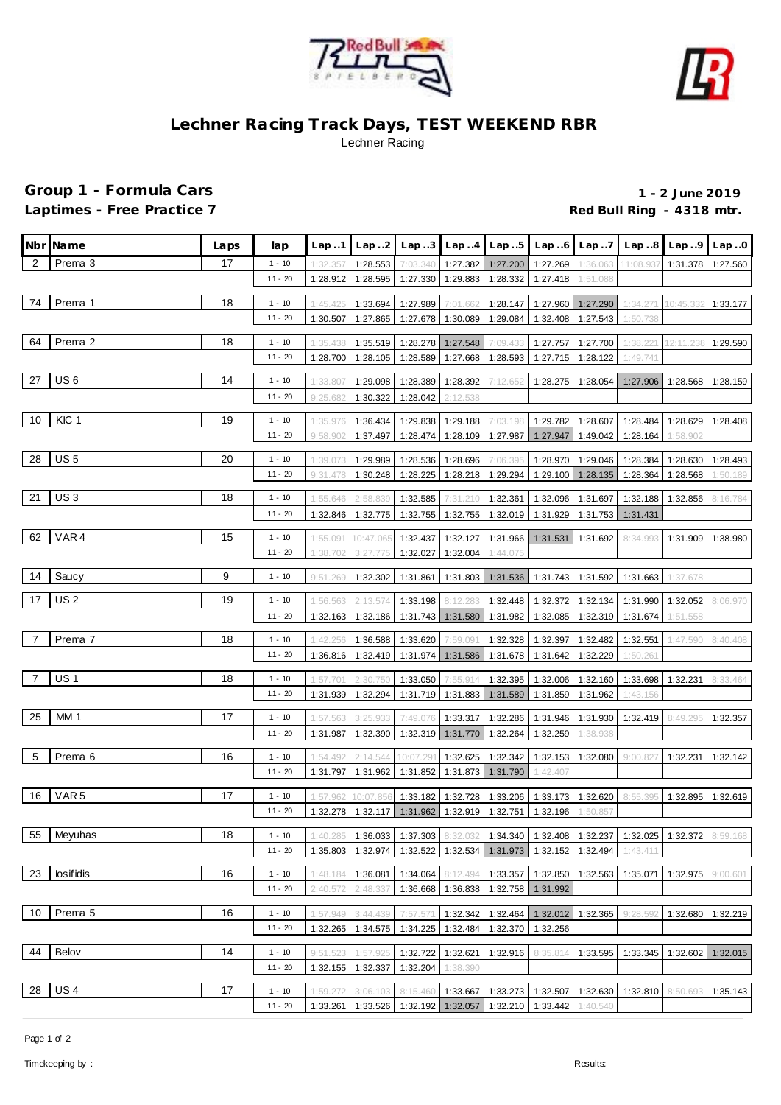



## **Lechner Racing Track Days, TEST WEEKEND RBR** Lechner Racing

## **Group 1 - Formula Cars 1 - 2 June 2019**

Laptimes - Free Practice 7 **Container and Container Property** Red Bull Ring - 4318 mtr.

|    | Nbr Name         | Laps | lap                   | Lap.1    |                      | $\lfloor$ Lap2 $\lfloor$ Lap3 $\lfloor$ Lap4 $\lfloor$ Lap5 $\lfloor$ Lap6 $\lfloor$ Lap7 $\rfloor$ |                                     |                     |                                                      |                      |                                                      | $Lap.8$ $Lap.9$      | Lap.0    |
|----|------------------|------|-----------------------|----------|----------------------|-----------------------------------------------------------------------------------------------------|-------------------------------------|---------------------|------------------------------------------------------|----------------------|------------------------------------------------------|----------------------|----------|
| 2  | Prema 3          | 17   | $1 - 10$              | 1:32.357 | 1:28.553             | 7:03.340                                                                                            | 1:27.382                            | $1:27.200$ 1:27.269 |                                                      | 1:36.063             | 11:08.937                                            | 1:31.378 1:27.560    |          |
|    |                  |      | $11 - 20$             | 1:28.912 | 1:28.595             | 1:27.330                                                                                            | 1:29.883                            | 1:28.332            | 1:27.418                                             | 1:51.088             |                                                      |                      |          |
| 74 | Prema 1          | 18   | $1 - 10$              | 1:45.425 | 1:33.694             | 1:27.989                                                                                            | 7:01.662                            | 1:28.147            |                                                      | 1:27.960 1:27.290    | 1:34.271                                             | 10:45.332            | 1:33.177 |
|    |                  |      | $11 - 20$             | 1:30.507 | 1:27.865             | 1:27.678                                                                                            | 1:30.089 1:29.084                   |                     |                                                      | 1:32.408 1:27.543    | 1:50.738                                             |                      |          |
|    |                  |      |                       |          |                      |                                                                                                     |                                     |                     |                                                      |                      |                                                      |                      |          |
| 64 | Prema 2          | 18   | $1 - 10$              | 1:35.438 | 1:35.519             | 1:28.278                                                                                            | 1:27.548                            | 7:09.433            |                                                      | 1:27.757 1:27.700    | 1:38.221                                             | 12:11.238            | 1:29.590 |
|    |                  |      | $11 - 20$             | 1:28.700 | 1:28.105             | 1:28.589                                                                                            |                                     | 1:27.668 1:28.593   | 1:27.715                                             | 1:28.122             | 1:49.741                                             |                      |          |
| 27 | US <sub>6</sub>  | 14   | $1 - 10$              | 1:33.807 | 1:29.098             | 1:28.389                                                                                            | 1:28.392                            | 7:12.652            | 1:28.275                                             | 1:28.054             | 1:27.906                                             | 1:28.568             | 1:28.159 |
|    |                  |      | $11 - 20$             | 9:25.682 | 1:30.322             | 1:28.042                                                                                            | 2:12.538                            |                     |                                                      |                      |                                                      |                      |          |
| 10 | KIC 1            | 19   | $1 - 10$              | 1:35.976 |                      | 1:29.838                                                                                            |                                     | 7:03.198            |                                                      |                      |                                                      |                      |          |
|    |                  |      | $11 - 20$             | 9:58.902 | 1:36.434<br>1:37.497 | 1:28.474                                                                                            | 1:29.188<br>1:28.109 1:27.987       |                     | 1:29.782<br>1:27.947                                 | 1:28.607<br>1:49.042 | 1:28.484<br>1:28.164                                 | 1:28.629<br>1:58.902 | 1:28.408 |
|    |                  |      |                       |          |                      |                                                                                                     |                                     |                     |                                                      |                      |                                                      |                      |          |
|    | 28   US 5        | 20   | $1 - 10$              | 1:39.073 | 1:29.989             |                                                                                                     | 1:28.536 1:28.696 7:06.395          |                     |                                                      | 1:28.970   1:29.046  |                                                      | 1:28.384 1:28.630    | 1:28.493 |
|    |                  |      | $11 - 20$             | 9:31.478 | 1:30.248             | 1:28.225                                                                                            | 1:28.218 1:29.294                   |                     | 1:29.100                                             | 1:28.135             | 1:28.364                                             | 1:28.568             | 1:50.189 |
| 21 | US <sub>3</sub>  | 18   | $1 - 10$              | 1:55.646 | 2:58.839             | 1:32.585                                                                                            | 7:31.210                            | 1:32.361            | 1:32.096                                             | 1:31.697             | 1:32.188                                             | 1:32.856             | 8:16.784 |
|    |                  |      | $11 - 20$             | 1:32.846 | 1:32.775             | 1:32.755                                                                                            |                                     | 1:32.755 1:32.019   | 1:31.929                                             | 1:31.753             | 1:31.431                                             |                      |          |
|    |                  |      |                       |          |                      |                                                                                                     |                                     |                     |                                                      |                      |                                                      |                      |          |
| 62 | VAR4             | 15   | $1 - 10$<br>$11 - 20$ | 1:55.091 | 10:47.065            | 1:32.437                                                                                            | 1:32.127                            |                     | 1:31.966   1:31.531                                  | 1:31.692             | 8:34.993                                             | 1:31.909             | 1:38.980 |
|    |                  |      |                       | 1:38.702 | 3:27.775             | 1:32.027                                                                                            | 1:32.004                            | 1:44.075            |                                                      |                      |                                                      |                      |          |
| 14 | Saucy            | 9    | $1 - 10$              | 9:51.269 | 1:32.302             | 1:31.861                                                                                            |                                     |                     |                                                      |                      | 1:31.803   1:31.536   1:31.743   1:31.592   1:31.663 | 1:37.678             |          |
| 17 | <b>US2</b>       | 19   | $1 - 10$              | 1:56.563 | 2:13.574             | 1:33.198                                                                                            |                                     | 8:12.283 1:32.448   | 1:32.372                                             | 1:32.134             | 1:31.990                                             | 1:32.052             | 8:06.970 |
|    |                  |      | $11 - 20$             | 1:32.163 | 1:32.186             |                                                                                                     | 1:31.743 1:31.580 1:31.982          |                     | 1:32.085                                             | 1:32.319             | 1:31.674                                             | 1:51.558             |          |
|    |                  |      |                       |          |                      |                                                                                                     |                                     |                     |                                                      |                      |                                                      |                      |          |
| 7  | Prema 7          | 18   | $1 - 10$              | 1:42.256 | 1:36.588             | 1:33.620                                                                                            | 7:59.091                            | 1:32.328            | 1:32.397                                             | 1:32.482             | 1:32.551                                             | 1:47.590             | 8:40.408 |
|    |                  |      | $11 - 20$             | 1:36.816 | 1:32.419             | 1:31.974                                                                                            |                                     | 1:31.586 1:31.678   | 1:31.642                                             | 1:32.229             | 1:50.261                                             |                      |          |
| 7  | <b>US1</b>       | 18   | $1 - 10$              | 1:57.701 | 2:30.750             | 1:33.050                                                                                            | 7:55.914                            |                     | 1:32.395 1:32.006 1:32.160                           |                      | 1:33.698 1:32.231                                    |                      | 8:33.464 |
|    |                  |      | $11 - 20$             | 1:31.939 | 1:32.294             |                                                                                                     |                                     |                     | 1:31.719 1:31.883 1:31.589 1:31.859 1:31.962         |                      | 1:43.156                                             |                      |          |
| 25 | <b>MM1</b>       | 17   | $1 - 10$              | 1:57.563 | 3:25.933             | 7:49.076                                                                                            | 1:33.317                            | 1:32.286            | 1:31.946                                             | 1:31.930             | 1:32.419 8:49.295                                    |                      | 1:32.357 |
|    |                  |      | $11 - 20$             | 1:31.987 | 1:32.390             |                                                                                                     | 1:32.319 1:31.770 1:32.264          |                     | 1:32.259                                             | 1:38.938             |                                                      |                      |          |
|    |                  |      |                       |          |                      |                                                                                                     |                                     |                     |                                                      |                      |                                                      |                      |          |
| 5  | Prema 6          | 16   | $1 - 10$              | 1:54.492 | 2:14.544             | 10:07.29                                                                                            |                                     |                     | 1:32.625   1:32.342   1:32.153   1:32.080   9:00.827 |                      |                                                      | 1:32.231             | 1:32.142 |
|    |                  |      | $11 - 20$             | 1:31.797 | 1:31.962             |                                                                                                     | 1:31.852 1:31.873 1:31.790 1:42.407 |                     |                                                      |                      |                                                      |                      |          |
| 16 | VAR <sub>5</sub> | 17   | $1 - 10$              | 1:57.962 |                      | 1:33.182                                                                                            |                                     | 1:32.728 1:33.206   |                                                      | 1:33.173 1:32.620    | 8:55.395                                             | 1:32.895 1:32.619    |          |
|    |                  |      | $11 - 20$             |          |                      | 1:32.278   1:32.117   1:31.962   1:32.919   1:32.751   1:32.196   1:50.857                          |                                     |                     |                                                      |                      |                                                      |                      |          |
|    |                  |      |                       |          |                      |                                                                                                     |                                     |                     |                                                      |                      |                                                      |                      |          |
| 55 | Meyuhas          | 18   | $1 - 10$              | 1:40.285 | 1:36.033             | 1:37.303 8:32.032                                                                                   |                                     |                     |                                                      |                      | 1:34.340   1:32.408   1:32.237   1:32.025   1:32.372 |                      | 8:59.168 |
|    |                  |      | $11 - 20$             | 1:35.803 | 1:32.974             | 1:32.522                                                                                            |                                     |                     | 1:32.534 1:31.973 1:32.152 1:32.494                  |                      | 1:43.411                                             |                      |          |
| 23 | losifidis        | 16   | $1 - 10$              | 1:48.184 | 1:36.081             | 1:34.064                                                                                            | 8:12.494                            | 1:33.357            | 1:32.850                                             | 1:32.563             | 1:35.071                                             | 1:32.975 9:00.601    |          |
|    |                  |      | $11 - 20$             | 2:40.572 | 2:48.337             | 1:36.668                                                                                            | 1:36.838                            | 1:32.758            | 1:31.992                                             |                      |                                                      |                      |          |
| 10 | Prema 5          | 16   | $1 - 10$              | 1:57.949 | 3:44.439             | 7:57.571                                                                                            | 1:32.342                            | 1:32.464            |                                                      | 1:32.012 1:32.365    | 9:28.592                                             | 1:32.680             | 1:32.219 |
|    |                  |      | $11 - 20$             | 1:32.265 | 1:34.575             | 1:34.225                                                                                            | 1:32.484                            | 1:32.370            | 1:32.256                                             |                      |                                                      |                      |          |
|    |                  |      |                       |          |                      |                                                                                                     |                                     |                     |                                                      |                      |                                                      |                      |          |
| 44 | Belov            | 14   | $1 - 10$              | 9:51.523 | 1:57.925             | 1:32.722                                                                                            | 1:32.621                            | 1:32.916            | 8:35.814                                             | 1:33.595             | 1:33.345                                             | 1:32.602             | 1:32.015 |
|    |                  |      | $11 - 20$             | 1:32.155 | 1:32.337             | 1:32.204                                                                                            | 1:38.390                            |                     |                                                      |                      |                                                      |                      |          |
| 28 | US <sub>4</sub>  | 17   | $1 - 10$              | 1:59.272 | 3:06.103             | 8:15.460                                                                                            | 1:33.667                            |                     | 1:33.273 1:32.507 1:32.630                           |                      | 1:32.810                                             | 8:50.693             | 1:35.143 |
|    |                  |      | $11 - 20$             | 1:33.261 | 1:33.526             | 1:32.192                                                                                            | 1:32.057                            | 1:32.210            | 1:33.442                                             | 1:40.540             |                                                      |                      |          |